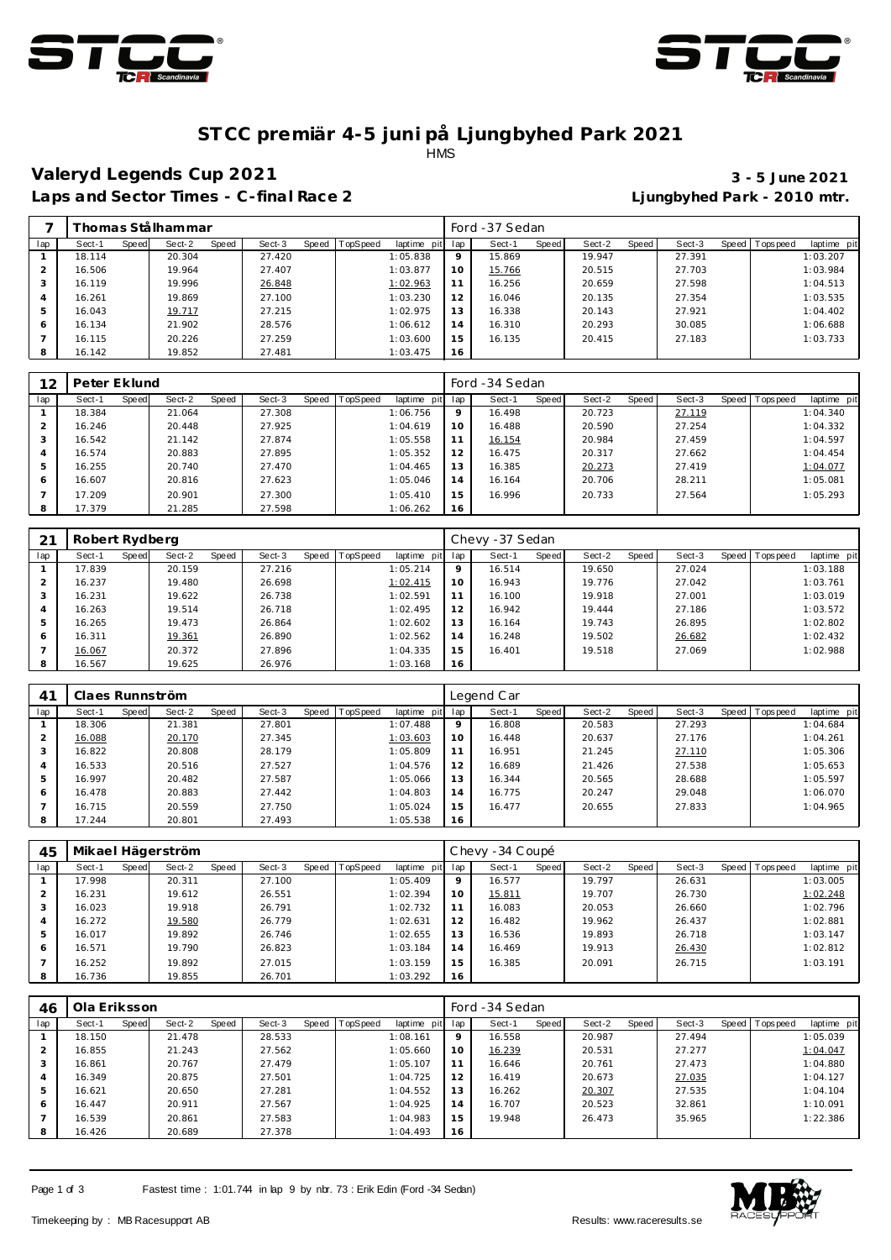



### **ST CC premiär 4-5 juni på Ljungbyhed Park 2021** HMS

### **Valeryd Legends Cup 2021 3 - 5 June 2021**

Ljungbyhed Park - 2010 mtr.

| Laps and Sector Times - C-final Race 2 |  |  |
|----------------------------------------|--|--|

|               |        |       | <sup>-</sup> homas Stålhammar |       |        |                |             |         | Ford -37 Sedan |       |        |       |        |                   |             |
|---------------|--------|-------|-------------------------------|-------|--------|----------------|-------------|---------|----------------|-------|--------|-------|--------|-------------------|-------------|
| lap           | Sect-1 | Speed | Sect-2                        | Speed | Sect-3 | Speed TopSpeed | laptime pit | lap     | Sect-1         | Speed | Sect-2 | Speed | Sect-3 | Speed   Tops peed | laptime pit |
|               | 18.114 |       | 20.304                        |       | 27.420 |                | 1:05.838    | $\circ$ | 15.869         |       | 19.947 |       | 27.391 |                   | 1:03.207    |
| $\mathcal{P}$ | 16.506 |       | 19.964                        |       | 27.407 |                | 1:03.877    | 10      | 15.766         |       | 20.515 |       | 27.703 |                   | 1:03.984    |
| 3             | 16.119 |       | 19.996                        |       | 26.848 |                | 1:02.963    | 11      | 16.256         |       | 20.659 |       | 27.598 |                   | 1:04.513    |
| 4             | 16.261 |       | 19.869                        |       | 27.100 |                | 1:03.230    | 12      | 16.046         |       | 20.135 |       | 27.354 |                   | 1:03.535    |
| 5             | 16.043 |       | 19.717                        |       | 27.215 |                | 1:02.975    | 13      | 16.338         |       | 20.143 |       | 27.921 |                   | 1:04.402    |
| 6             | 16.134 |       | 21.902                        |       | 28.576 |                | 1:06.612    | 14      | 16.310         |       | 20.293 |       | 30.085 |                   | 1:06.688    |
|               | 16.115 |       | 20.226                        |       | 27.259 |                | 1:03.600    | 15      | 16.135         |       | 20.415 |       | 27.183 |                   | 1:03.733    |
| 8             | 16.142 |       | 19.852                        |       | 27.481 |                | 1:03.475    | 16      |                |       |        |       |        |                   |             |

| 12  | Peter Eklund |       |        |       |        |       |          |             |         | Ford -34 Sedan |       |        |       |        |                 |             |
|-----|--------------|-------|--------|-------|--------|-------|----------|-------------|---------|----------------|-------|--------|-------|--------|-----------------|-------------|
| lap | Sect-1       | Speed | Sect-2 | Speed | Sect-3 | Speed | TopSpeed | laptime pit | lap     | Sect-1         | Speed | Sect-2 | Speed | Sect-3 | Speed Tops peed | laptime pit |
|     | 18.384       |       | 21.064 |       | 27.308 |       |          | 1:06.756    | $\circ$ | 16.498         |       | 20.723 |       | 27.119 |                 | 1:04.340    |
|     | 16.246       |       | 20.448 |       | 27.925 |       |          | 1:04.619    | 10      | 16.488         |       | 20.590 |       | 27.254 |                 | 1:04.332    |
| 3   | 16.542       |       | 21.142 |       | 27.874 |       |          | 1:05.558    |         | 16.154         |       | 20.984 |       | 27.459 |                 | 1:04.597    |
| 4   | 16.574       |       | 20.883 |       | 27.895 |       |          | 1:05.352    | 12      | 16.475         |       | 20.317 |       | 27.662 |                 | 1:04.454    |
| 5   | 16.255       |       | 20.740 |       | 27.470 |       |          | 1:04.465    | 13      | 16.385         |       | 20.273 |       | 27.419 |                 | 1:04.077    |
| 6   | 16.607       |       | 20.816 |       | 27.623 |       |          | 1:05.046    | 14      | 16.164         |       | 20.706 |       | 28.211 |                 | 1:05.081    |
|     | 17.209       |       | 20.901 |       | 27.300 |       |          | 1:05.410    | 15      | 16.996         |       | 20.733 |       | 27.564 |                 | 1:05.293    |
| 8   | 17.379       |       | 21.285 |       | 27.598 |       |          | 1:06.262    | 16      |                |       |        |       |        |                 |             |

|     | Robert Rydberg |       |        |       |        |                  |             |     | Chevy -37 Sedan |       |        |       |        |       |           |             |
|-----|----------------|-------|--------|-------|--------|------------------|-------------|-----|-----------------|-------|--------|-------|--------|-------|-----------|-------------|
| lap | Sect-1         | Speed | Sect-2 | Speed | Sect-3 | Speed   TopSpeed | laptime pit | lap | Sect-1          | Speed | Sect-2 | Speed | Sect-3 | Speed | Tops peed | laptime pit |
|     | 17.839         |       | 20.159 |       | 27.216 |                  | 1:05.214    | 9   | 16.514          |       | 19.650 |       | 27.024 |       |           | 1:03.188    |
|     | 16.237         |       | 19.480 |       | 26.698 |                  | 1:02.415    | 10  | 16.943          |       | 19.776 |       | 27.042 |       |           | 1:03.761    |
| 3   | 16.231         |       | 19.622 |       | 26.738 |                  | 1:02.591    | 11  | 16.100          |       | 19.918 |       | 27.001 |       |           | 1:03.019    |
| 4   | 16.263         |       | 19.514 |       | 26.718 |                  | 1:02.495    | 12  | 16.942          |       | 19.444 |       | 27.186 |       |           | 1:03.572    |
| 5   | 16.265         |       | 19.473 |       | 26.864 |                  | 1:02.602    | 13  | 16.164          |       | 19.743 |       | 26.895 |       |           | 1:02.802    |
| 6   | 16.311         |       | 19.361 |       | 26.890 |                  | 1:02.562    | 14  | 16.248          |       | 19.502 |       | 26.682 |       |           | 1:02.432    |
|     | 16.067         |       | 20.372 |       | 27.896 |                  | 1:04.335    | 15  | 16.401          |       | 19.518 |       | 27.069 |       |           | 1:02.988    |
| 8   | 16.567         |       | 19.625 |       | 26.976 |                  | 1:03.168    | 16  |                 |       |        |       |        |       |           |             |

| 4 <sup>1</sup> | Claes Runnström |       |        |       |        |       |          |             |             | Legend Car |       |        |       |        |                |             |
|----------------|-----------------|-------|--------|-------|--------|-------|----------|-------------|-------------|------------|-------|--------|-------|--------|----------------|-------------|
| lap            | Sect-1          | Speed | Sect-2 | Speed | Sect-3 | Speed | TopSpeed | laptime pit | lap         | Sect-1     | Speed | Sect-2 | Speed | Sect-3 | Speed Topspeed | laptime pit |
|                | 18.306          |       | 21.381 |       | 27.801 |       |          | 1:07.488    | $\mathsf Q$ | 16.808     |       | 20.583 |       | 27.293 |                | 1:04.684    |
|                | 16.088          |       | 20.170 |       | 27.345 |       |          | 1:03.603    | 10          | 16.448     |       | 20.637 |       | 27.176 |                | 1:04.261    |
|                | 16.822          |       | 20.808 |       | 28.179 |       |          | 1:05.809    | 11          | 16.951     |       | 21.245 |       | 27.110 |                | 1:05.306    |
| 4              | 16.533          |       | 20.516 |       | 27.527 |       |          | 1:04.576    | 12          | 16.689     |       | 21.426 |       | 27.538 |                | 1:05.653    |
| 5              | 16.997          |       | 20.482 |       | 27.587 |       |          | 1:05.066    | 13          | 16.344     |       | 20.565 |       | 28.688 |                | 1:05.597    |
| 6              | 16.478          |       | 20.883 |       | 27.442 |       |          | 1:04.803    | 14          | 16.775     |       | 20.247 |       | 29.048 |                | 1:06.070    |
|                | 16.715          |       | 20.559 |       | 27.750 |       |          | 1:05.024    | 15          | 16.477     |       | 20.655 |       | 27.833 |                | 1:04.965    |
| 8              | 17.244          |       | 20.801 |       | 27.493 |       |          | 1:05.538    | 16          |            |       |        |       |        |                |             |

| 45  |        |       | Mikael Hägerström |       |        |                |             |                 | Chevy - 34 Coupé |       |        |       |        |                 |             |
|-----|--------|-------|-------------------|-------|--------|----------------|-------------|-----------------|------------------|-------|--------|-------|--------|-----------------|-------------|
| lap | Sect-1 | Speed | Sect-2            | Speed | Sect-3 | Speed TopSpeed | laptime pit | lap             | Sect-1           | Speed | Sect-2 | Speed | Sect-3 | Speed Tops peed | laptime pit |
|     | 17.998 |       | 20.311            |       | 27.100 |                | 1:05.409    | $\mathsf Q$     | 16.577           |       | 19.797 |       | 26.631 |                 | 1:03.005    |
|     | 16.231 |       | 19.612            |       | 26.551 |                | 1:02.394    | 10 <sup>°</sup> | 15.811           |       | 19.707 |       | 26.730 |                 | 1:02.248    |
| 3   | 16.023 |       | 19.918            |       | 26.791 |                | 1:02.732    | 11              | 16.083           |       | 20.053 |       | 26.660 |                 | 1:02.796    |
|     | 16.272 |       | 19.580            |       | 26.779 |                | 1:02.631    | 12              | 16.482           |       | 19.962 |       | 26.437 |                 | 1:02.881    |
| 5   | 16.017 |       | 19.892            |       | 26.746 |                | 1:02.655    | 13              | 16.536           |       | 19.893 |       | 26.718 |                 | 1:03.147    |
| 6   | 16.571 |       | 19.790            |       | 26.823 |                | 1:03.184    | 14              | 16.469           |       | 19.913 |       | 26.430 |                 | 1:02.812    |
|     | 16.252 |       | 19.892            |       | 27.015 |                | 1:03.159    | 15              | 16.385           |       | 20.091 |       | 26.715 |                 | 1:03.191    |
| 8   | 16.736 |       | 19.855            |       | 26.701 |                | 1:03.292    | 16              |                  |       |        |       |        |                 |             |

| 46            | Ola Eriksson |       |        |       |        |                |             |             | Ford -34 Sedan |       |        |       |        |                |             |
|---------------|--------------|-------|--------|-------|--------|----------------|-------------|-------------|----------------|-------|--------|-------|--------|----------------|-------------|
| lap           | Sect-1       | Speed | Sect-2 | Speed | Sect-3 | Speed TopSpeed | laptime pit | lap         | Sect-1         | Speed | Sect-2 | Speed | Sect-3 | Speed Topspeed | laptime pit |
|               | 18.150       |       | 21.478 |       | 28.533 |                | 1:08.161    | $\mathsf Q$ | 16.558         |       | 20.987 |       | 27.494 |                | 1:05.039    |
| $\mathcal{P}$ | 16.855       |       | 21.243 |       | 27.562 |                | 1:05.660    | 10          | 16.239         |       | 20.531 |       | 27.277 |                | 1:04.047    |
| 3             | 16.861       |       | 20.767 |       | 27.479 |                | 1:05.107    | 11          | 16.646         |       | 20.761 |       | 27.473 |                | 1:04.880    |
| 4             | 16.349       |       | 20.875 |       | 27.501 |                | 1:04.725    | 12          | 16.419         |       | 20.673 |       | 27.035 |                | 1:04.127    |
| 5             | 16.621       |       | 20.650 |       | 27.281 |                | 1:04.552    | 13          | 16.262         |       | 20.307 |       | 27.535 |                | 1:04.104    |
| 6             | 16.447       |       | 20.911 |       | 27.567 |                | 1:04.925    | 14          | 16.707         |       | 20.523 |       | 32.861 |                | 1:10.091    |
|               | 16.539       |       | 20.861 |       | 27.583 |                | 1:04.983    | 15          | 19.948         |       | 26.473 |       | 35.965 |                | 1:22.386    |
| 8             | 16.426       |       | 20.689 |       | 27.378 |                | 1:04.493    | 16          |                |       |        |       |        |                |             |

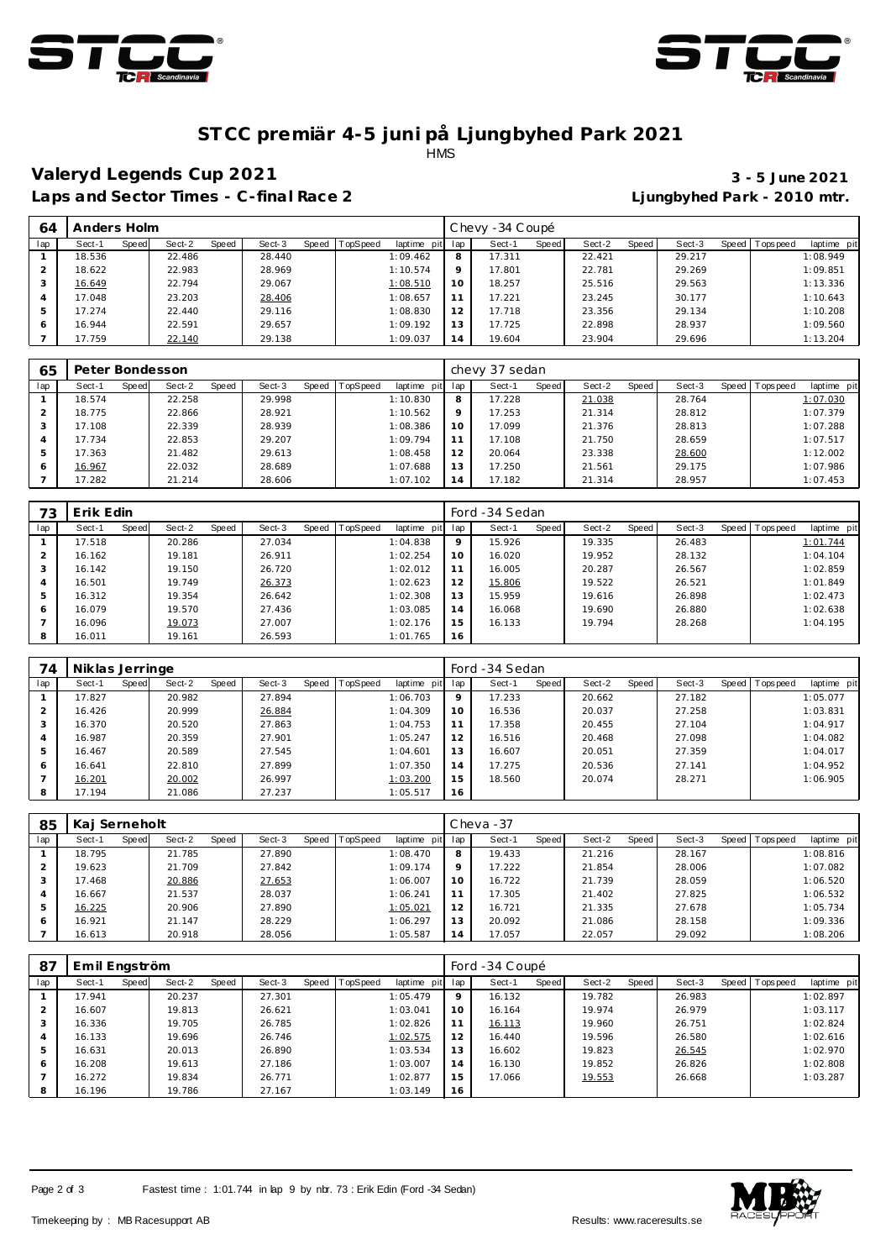



#### **ST CC premiär 4-5 juni på Ljungbyhed Park 2021 HMS**

### **Valeryd Legends Cup 2021 3 - 5 June 2021**

# **Laps and Sector Times - C-final Race 2 Ljungbyhed Park - 2010 mtr.**

| 64  | Anders Holm |       |        |       |        |       |          |             |     | Chevy -34 Coupé |              |        |       |        |       |           |             |
|-----|-------------|-------|--------|-------|--------|-------|----------|-------------|-----|-----------------|--------------|--------|-------|--------|-------|-----------|-------------|
| lap | Sect-1      | Speed | Sect-2 | Speed | Sect-3 | Speed | TopSpeed | laptime pit | lap | Sect-1          | <b>Speed</b> | Sect-2 | Speed | Sect-3 | Speed | Tops peed | laptime pit |
|     | 18.536      |       | 22.486 |       | 28.440 |       |          | 1:09.462    | 8   | 17.311          |              | 22.421 |       | 29.217 |       |           | 1:08.949    |
|     | 18.622      |       | 22.983 |       | 28.969 |       |          | 1:10.574    | Q   | 17.801          |              | 22.781 |       | 29.269 |       |           | 1:09.851    |
| 3   | 16.649      |       | 22.794 |       | 29.067 |       |          | 1:08.510    | 10  | 18.257          |              | 25.516 |       | 29.563 |       |           | 1:13.336    |
| 4   | 17.048      |       | 23.203 |       | 28.406 |       |          | 1:08.657    | 11  | 17.221          |              | 23.245 |       | 30.177 |       |           | 1:10.643    |
|     | 17.274      |       | 22.440 |       | 29.116 |       |          | 1:08.830    | 12  | 17.718          |              | 23.356 |       | 29.134 |       |           | 1:10.208    |
| 6   | 16.944      |       | 22.591 |       | 29.657 |       |          | 1:09.192    | 13  | 17.725          |              | 22.898 |       | 28.937 |       |           | 1:09.560    |
|     | 17.759      |       | 22.140 |       | 29.138 |       |          | 1:09.037    | 14  | 19.604          |              | 23.904 |       | 29.696 |       |           | 1:13.204    |

| 65  | Peter Bondesson |       |        |       |        |       |          |                 |         | chevy 37 sedan |       |        |       |        |                 |             |
|-----|-----------------|-------|--------|-------|--------|-------|----------|-----------------|---------|----------------|-------|--------|-------|--------|-----------------|-------------|
| lap | Sect-1          | Speed | Sect-2 | Speed | Sect-3 | Speed | TopSpeed | laptime pit lap |         | Sect-1         | Speed | Sect-2 | Speed | Sect-3 | Speed Tops peed | laptime pit |
|     | 18.574          |       | 22.258 |       | 29.998 |       |          | 1:10.830        | 8       | 17.228         |       | 21.038 |       | 28.764 |                 | 1:07.030    |
|     | 18.775          |       | 22.866 |       | 28.921 |       |          | 1:10.562        | $\circ$ | 17.253         |       | 21.314 |       | 28.812 |                 | 1:07.379    |
|     | 17.108          |       | 22.339 |       | 28.939 |       |          | 1:08.386        | 1 O     | 17.099         |       | 21.376 |       | 28.813 |                 | 1:07.288    |
|     | 17.734          |       | 22.853 |       | 29.207 |       |          | 1:09.794        |         | 17.108         |       | 21.750 |       | 28.659 |                 | 1:07.517    |
|     | 17.363          |       | 21.482 |       | 29.613 |       |          | 1:08.458        | 12      | 20.064         |       | 23.338 |       | 28.600 |                 | 1:12.002    |
| 6   | 16.967          |       | 22.032 |       | 28.689 |       |          | 1:07.688        | 13      | 17.250         |       | 21.561 |       | 29.175 |                 | 1:07.986    |
|     | 17.282          |       | 21.214 |       | 28.606 |       |          | 1:07.102        |         | 17.182         |       | 21.314 |       | 28.957 |                 | 1:07.453    |

| 73  | Erik Edin |       |        |       |        |       |          |             |     | Ford -34 Sedan |       |        |       |        |       |            |             |
|-----|-----------|-------|--------|-------|--------|-------|----------|-------------|-----|----------------|-------|--------|-------|--------|-------|------------|-------------|
| lap | Sect-1    | Speed | Sect-2 | Speed | Sect-3 | Speed | TopSpeed | laptime pit | lap | Sect-1         | Speed | Sect-2 | Speed | Sect-3 | Speed | Tops pee d | laptime pit |
|     | 17.518    |       | 20.286 |       | 27.034 |       |          | 1:04.838    | 9   | 15.926         |       | 19.335 |       | 26.483 |       |            | 1:01.744    |
|     | 16.162    |       | 19.181 |       | 26.911 |       |          | 1:02.254    | 10  | 16.020         |       | 19.952 |       | 28.132 |       |            | 1:04.104    |
|     | 16.142    |       | 19.150 |       | 26.720 |       |          | 1:02.012    | 11  | 16.005         |       | 20.287 |       | 26.567 |       |            | 1:02.859    |
|     | 16.501    |       | 19.749 |       | 26.373 |       |          | 1:02.623    | 12  | 15.806         |       | 19.522 |       | 26.521 |       |            | 1:01.849    |
|     | 16.312    |       | 19.354 |       | 26.642 |       |          | 1:02.308    | 13  | 15.959         |       | 19.616 |       | 26.898 |       |            | 1:02.473    |
| 6   | 16.079    |       | 19.570 |       | 27.436 |       |          | 1:03.085    | 14  | 16.068         |       | 19.690 |       | 26.880 |       |            | 1:02.638    |
|     | 16.096    |       | 19.073 |       | 27.007 |       |          | 1:02.176    | 15  | 16.133         |       | 19.794 |       | 28.268 |       |            | 1:04.195    |
|     | 16.011    |       | 19.161 |       | 26.593 |       |          | 1:01.765    | 16  |                |       |        |       |        |       |            |             |

| 74  | Niklas Jerringe |       |        |       |        |                |             |             | Ford -34 Sedan |       |        |       |        |                 |             |
|-----|-----------------|-------|--------|-------|--------|----------------|-------------|-------------|----------------|-------|--------|-------|--------|-----------------|-------------|
| lap | Sect-1          | Speed | Sect-2 | Speed | Sect-3 | Speed TopSpeed | laptime pit | lap         | Sect-1         | Speed | Sect-2 | Speed | Sect-3 | Speed Tops peed | laptime pit |
|     | 17.827          |       | 20.982 |       | 27.894 |                | 1:06.703    | $\mathsf Q$ | 17.233         |       | 20.662 |       | 27.182 |                 | 1:05.077    |
|     | 16.426          |       | 20.999 |       | 26.884 |                | 1:04.309    | 10          | 16.536         |       | 20.037 |       | 27.258 |                 | 1:03.831    |
|     | 16.370          |       | 20.520 |       | 27.863 |                | 1:04.753    | 11          | 17.358         |       | 20.455 |       | 27.104 |                 | 1:04.917    |
| 4   | 16.987          |       | 20.359 |       | 27.901 |                | 1:05.247    | 12          | 16.516         |       | 20.468 |       | 27.098 |                 | 1:04.082    |
| 5   | 16.467          |       | 20.589 |       | 27.545 |                | 1:04.601    | 13          | 16.607         |       | 20.051 |       | 27.359 |                 | 1:04.017    |
| 6   | 16.641          |       | 22.810 |       | 27.899 |                | 1:07.350    | 14          | 17.275         |       | 20.536 |       | 27.141 |                 | 1:04.952    |
|     | 16.201          |       | 20.002 |       | 26.997 |                | 1:03.200    | 15          | 18.560         |       | 20.074 |       | 28.271 |                 | 1:06.905    |
| 8   | 17.194          |       | 21.086 |       | 27.237 |                | 1:05.517    | 16          |                |       |        |       |        |                 |             |

| 85             | Kai Serneholt   |                 |        |                               |         | $Cheva -37$            |                 |                 |                          |
|----------------|-----------------|-----------------|--------|-------------------------------|---------|------------------------|-----------------|-----------------|--------------------------|
| lap            | Sect-1<br>Speed | Sect-2<br>Speed | Sect-3 | Speed TopSpeed<br>laptime pit | lap     | <b>Speed</b><br>Sect-1 | Speed<br>Sect-2 | Sect-3<br>Speed | Tops peed<br>laptime pit |
|                | 18.795          | 21.785          | 27.890 | 1:08.470                      | 8       | 19.433                 | 21.216          | 28.167          | 1:08.816                 |
|                | 19.623          | 21.709          | 27.842 | 1:09.174                      | $\circ$ | 17.222                 | 21.854          | 28.006          | 1:07.082                 |
|                | 17.468          | 20.886          | 27.653 | 1:06.007                      | 10      | 16.722                 | 21.739          | 28.059          | 1:06.520                 |
| $\overline{4}$ | 16.667          | 21.537          | 28.037 | 1:06.241                      | 11      | 17.305                 | 21.402          | 27.825          | 1:06.532                 |
| 5              | 16.225          | 20.906          | 27.890 | 1:05.021                      | 12      | 16.721                 | 21.335          | 27.678          | 1:05.734                 |
| 6              | 16.921          | 21.147          | 28.229 | 1:06.297                      | 13      | 20.092                 | 21.086          | 28.158          | 1:09.336                 |
|                | 16.613          | 20.918          | 28.056 | 1:05.587                      | 14      | 17.057                 | 22.057          | 29.092          | 1:08.206                 |

| -87 | Emil Engström |       |        |       |        |              |                  |             |     | Ford -34 Coupé |       |        |       |        |       |           |             |  |  |  |
|-----|---------------|-------|--------|-------|--------|--------------|------------------|-------------|-----|----------------|-------|--------|-------|--------|-------|-----------|-------------|--|--|--|
| lap | Sect-1        | Speed | Sect-2 | Speed | Sect-3 | <b>Speed</b> | <b>ITopSpeed</b> | laptime pit | lap | Sect-1         | Speed | Sect-2 | Speed | Sect-3 | Speed | Tops peed | laptime pit |  |  |  |
|     | 17.941        |       | 20.237 |       | 27.301 |              |                  | 1:05.479    | 9   | 16.132         |       | 19.782 |       | 26.983 |       |           | 1:02.897    |  |  |  |
|     | 16.607        |       | 19.813 |       | 26.621 |              |                  | 1:03.041    | 10  | 16.164         |       | 19.974 |       | 26.979 |       |           | 1:03.117    |  |  |  |
| 3   | 16.336        |       | 19.705 |       | 26.785 |              |                  | 1:02.826    | 11  | 16.113         |       | 19.960 |       | 26.751 |       |           | 1:02.824    |  |  |  |
| 4   | 16.133        |       | 19.696 |       | 26.746 |              |                  | 1:02.575    | 12  | 16.440         |       | 19.596 |       | 26.580 |       |           | 1:02.616    |  |  |  |
| 5   | 16.631        |       | 20.013 |       | 26.890 |              |                  | 1:03.534    | 13  | 16.602         |       | 19.823 |       | 26.545 |       |           | 1:02.970    |  |  |  |
| 6   | 16.208        |       | 19.613 |       | 27.186 |              |                  | 1:03.007    | 14  | 16.130         |       | 19.852 |       | 26.826 |       |           | 1:02.808    |  |  |  |
|     | 16.272        |       | 19.834 |       | 26.771 |              |                  | 1:02.877    | 15  | 17.066         |       | 19.553 |       | 26.668 |       |           | 1:03.287    |  |  |  |
| 8   | 16.196        |       | 19.786 |       | 27.167 |              |                  | 1:03.149    | 16  |                |       |        |       |        |       |           |             |  |  |  |